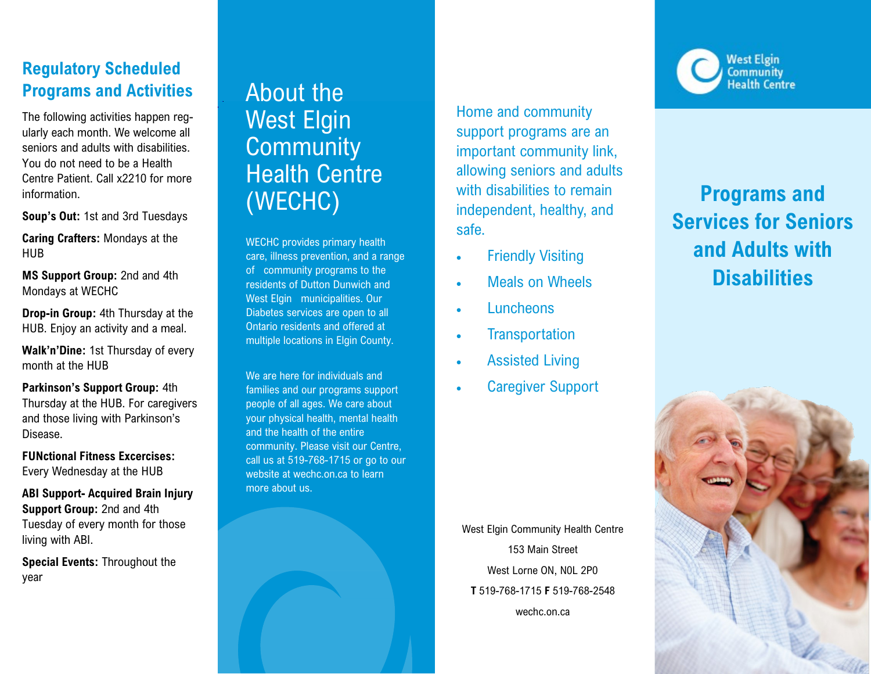#### **Regulatory Scheduled Programs and Activities**

The following activities happen regularly each month. We welcome all seniors and adults with disabilities. You do not need to be a Health Centre Patient. Call x2210 for more information.

**Soup's Out:** 1st and 3rd Tuesdays

**Caring Crafters:** Mondays at the HUB

**MS Support Group:** 2nd and 4th Mondays at WECHC

**Drop-in Group:** 4th Thursday at the HUB. Enjoy an activity and a meal.

**Walk'n'Dine:** 1st Thursday of every month at the HUB

**Parkinson's Support Group:** 4th Thursday at the HUB. For caregivers and those living with Parkinson's Disease.

**FUNctional Fitness Excercises:**  Every Wednesday at the HUB

**ABI Support- Acquired Brain Injury Support Group:** 2nd and 4th Tuesday of every month for those living with ABI.

**Special Events:** Throughout the year

# About the West Elgin **Community** Health Centre (WECHC)

WECHC provides primary health care, illness prevention, and a range of community programs to the residents of Dutton Dunwich and West Elgin municipalities. Our Diabetes services are open to all Ontario residents and offered at multiple locations in Elgin County.

We are here for individuals and families and our programs support people of all ages. We care about your physical health, mental health and the health of the entire community. Please visit our Centre, call us at 519-768-1715 or go to our website at wechc.on.ca to learn more about us.

Home and community support programs are an important community link, allowing seniors and adults with disabilities to remain independent, healthy, and safe.

- **Friendly Visiting**
- Meals on Wheels
- Luncheons
- Transportation
- **Assisted Living**
- **Caregiver Support**

West Elgin Community Health Centre 153 Main Street West Lorne ON, N0L 2P0 **T** 519-768-1715 **F** 519-768-2548 wechc.on.ca



# **Programs and Services for Seniors and Adults with Disabilities**